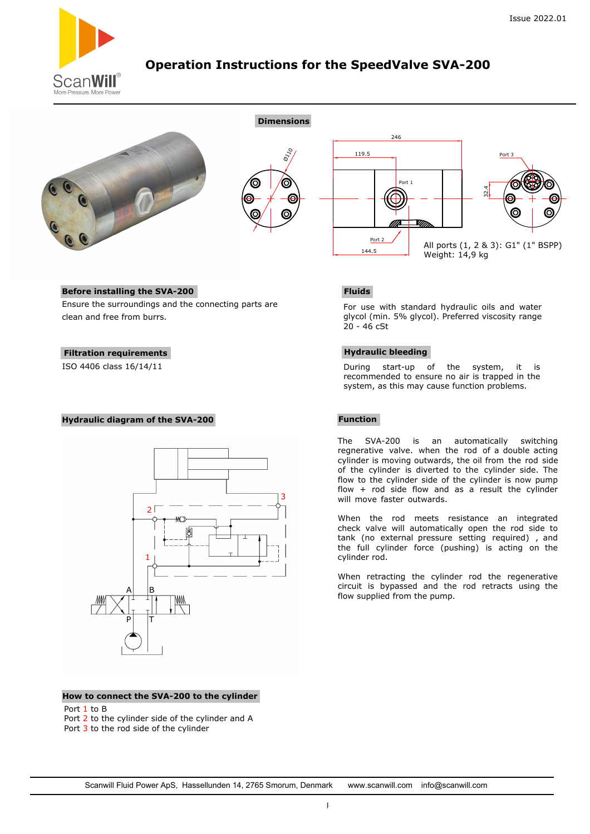

# **Operation Instructions for the SpeedValve SVA-200**





**Dimensions**



For use with standard hydraulic oils and water glycol (min. 5% glycol). Preferred viscosity range

During start-up of the system, it is recommended to ensure no air is trapped in the system, as this may cause function problems.

# **Before installing the SVA-200**

Ensure the surroundings and the connecting parts are clean and free from burrs.

## **Filtration requirements**

ISO 4406 class 16/14/11

## **Hydraulic diagram of the SVA-200**



#### **How to connect the SVA-200 to the cylinder**

Port 1 to B

- Port 2 to the cylinder side of the cylinder and A
- Port 3 to the rod side of the cylinder

## **Function**

 $20 - 46$  cSt

**Hydraulic bleeding**

**Fluids**

The SVA-200 is an automatically switching regnerative valve. when the rod of a double acting cylinder is moving outwards, the oil from the rod side of the cylinder is diverted to the cylinder side. The flow to the cylinder side of the cylinder is now pump flow  $+$  rod side flow and as a result the cylinder will move faster outwards.

When the rod meets resistance an integrated check valve will automatically open the rod side to tank (no external pressure setting required) , and the full cylinder force (pushing) is acting on the cylinder rod.

When retracting the cylinder rod the regenerative circuit is bypassed and the rod retracts using the flow supplied from the pump.